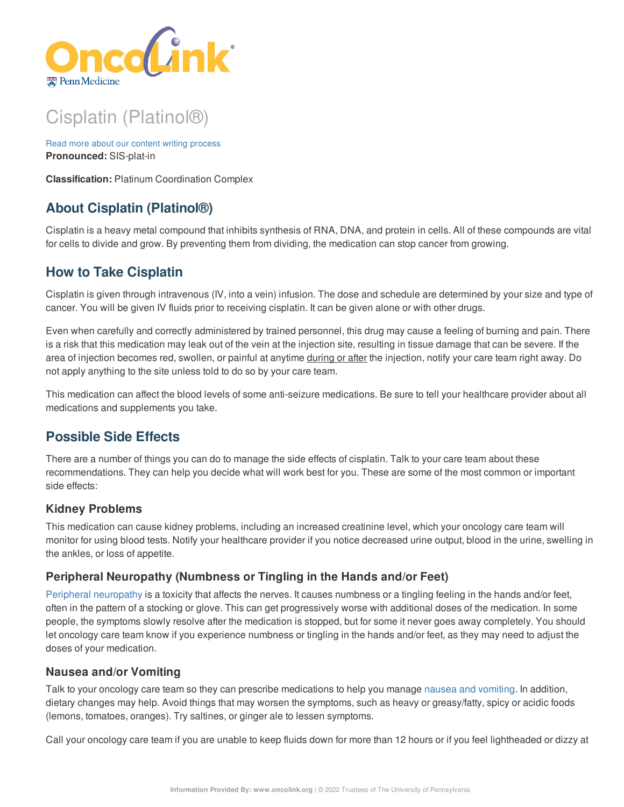

# Cisplatin (Platinol®)

Read more about our content writing [process](https://www.oncolink.org/chemo-printer/20959?theme=oncolink/about/content) **Pronounced:** SIS-plat-in

**Classification:** Platinum Coordination Complex

# **About Cisplatin (Platinol®)**

Cisplatin is a heavy metal compound that inhibits synthesis of RNA, DNA, and protein in cells. All of these compounds are vital for cells to divide and grow. By preventing them from dividing, the medication can stop cancer from growing.

# **How to Take Cisplatin**

Cisplatin is given through intravenous (IV, into a vein) infusion. The dose and schedule are determined by your size and type of cancer. You will be given IV fluids prior to receiving cisplatin. It can be given alone or with other drugs.

Even when carefully and correctly administered by trained personnel, this drug may cause a feeling of burning and pain. There is a risk that this medication may leak out of the vein at the injection site, resulting in tissue damage that can be severe. If the area of injection becomes red, swollen, or painful at anytime during or after the injection, notify your care team right away. Do not apply anything to the site unless told to do so by your care team.

This medication can affect the blood levels of some anti-seizure medications. Be sure to tell your healthcare provider about all medications and supplements you take.

# **Possible Side Effects**

There are a number of things you can do to manage the side effects of cisplatin. Talk to your care team about these recommendations. They can help you decide what will work best for you. These are some of the most common or important side effects:

# **Kidney Problems**

This medication can cause kidney problems, including an increased creatinine level, which your oncology care team will monitor for using blood tests. Notify your healthcare provider if you notice decreased urine output, blood in the urine, swelling in the ankles, or loss of appetite.

# **Peripheral Neuropathy (Numbness or Tingling in the Hands and/or Feet)**

Peripheral [neuropathy](https://www.oncolink.org/chemo-printer/20959?theme=oncolink/support/side-effects/neurological-side-effects/peripheral-neuropathy-nerve-damage/peripheral-neuropathy-nerve-damage) is a toxicity that affects the nerves. It causes numbness or a tingling feeling in the hands and/or feet, often in the pattern of a stocking or glove. This can get progressively worse with additional doses of the medication. In some people, the symptoms slowly resolve after the medication is stopped, but for some it never goes away completely. You should let oncology care team know if you experience numbness or tingling in the hands and/or feet, as they may need to adjust the doses of your medication.

#### **Nausea and/or Vomiting**

Talk to your oncology care team so they can prescribe medications to help you manage nausea and [vomiting](https://www.oncolink.org/chemo-printer/20959?theme=oncolink/support/side-effects/gastrointestinal-side-effects/nausea-and-vomiting). In addition, dietary changes may help. Avoid things that may worsen the symptoms, such as heavy or greasy/fatty, spicy or acidic foods (lemons, tomatoes, oranges). Try saltines, or ginger ale to lessen symptoms.

Call your oncology care team if you are unable to keep fluids down for more than 12 hours or if you feel lightheaded or dizzy at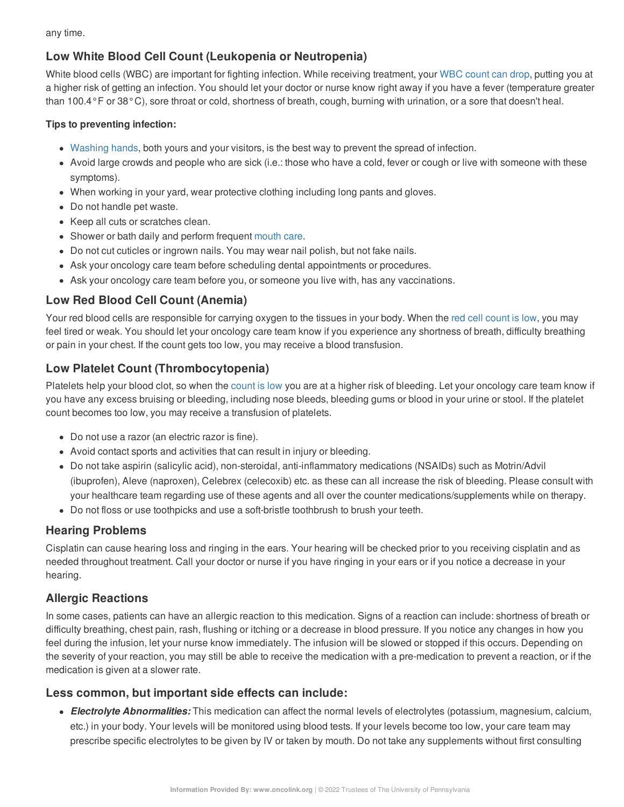any time.

# **Low White Blood Cell Count (Leukopenia or Neutropenia)**

White blood cells (WBC) are important for fighting infection. While receiving treatment, your WBC [count](https://www.oncolink.org/chemo-printer/20959?theme=oncolink/support/side-effects/low-blood-counts/neutropenia) can drop, putting you at a higher risk of getting an infection. You should let your doctor or nurse know right away if you have a fever (temperature greater than 100.4°F or 38°C), sore throat or cold, shortness of breath, cough, burning with urination, or a sore that doesn't heal.

#### **Tips to preventing infection:**

- [Washing](https://www.oncolink.org/chemo-printer/20959?theme=oncolink/cancer-treatment/hospital-helpers/hand-hygiene-hand-washing) hands, both yours and your visitors, is the best way to prevent the spread of infection.
- Avoid large crowds and people who are sick (i.e.: those who have a cold, fever or cough or live with someone with these symptoms).
- When working in your yard, wear protective clothing including long pants and gloves.
- Do not handle pet waste.
- Keep all cuts or scratches clean.
- Shower or bath daily and perform frequent [mouth](https://www.oncolink.org/chemo-printer/20959?theme=oncolink/support/side-effects/gastrointestinal-side-effects/mucositis/mucositis-mouth-sores-oral-care-tip-sheet) care.
- Do not cut cuticles or ingrown nails. You may wear nail polish, but not fake nails.
- Ask your oncology care team before scheduling dental appointments or procedures.
- Ask your oncology care team before you, or someone you live with, has any vaccinations.

# **Low Red Blood Cell Count (Anemia)**

Your red blood cells are responsible for carrying oxygen to the tissues in your body. When the red cell [count](https://www.oncolink.org/chemo-printer/20959?theme=oncolink/support/side-effects/low-blood-counts/low-red-blood-cell-count-anemia) is low, you may feel tired or weak. You should let your oncology care team know if you experience any shortness of breath, difficulty breathing or pain in your chest. If the count gets too low, you may receive a blood transfusion.

# **Low Platelet Count (Thrombocytopenia)**

Platelets help your blood clot, so when the [count](https://www.oncolink.org/chemo-printer/20959?theme=oncolink/support/side-effects/low-blood-counts/low-platelet-count-thrombocytopenia) is low you are at a higher risk of bleeding. Let your oncology care team know if you have any excess bruising or bleeding, including nose bleeds, bleeding gums or blood in your urine or stool. If the platelet count becomes too low, you may receive a transfusion of platelets.

- Do not use a razor (an electric razor is fine).
- Avoid contact sports and activities that can result in injury or bleeding.
- Do not take aspirin (salicylic acid), non-steroidal, anti-inflammatory medications (NSAIDs) such as Motrin/Advil (ibuprofen), Aleve (naproxen), Celebrex (celecoxib) etc. as these can all increase the risk of bleeding. Please consult with your healthcare team regarding use of these agents and all over the counter medications/supplements while on therapy.
- Do not floss or use toothpicks and use a soft-bristle toothbrush to brush your teeth.

# **Hearing Problems**

Cisplatin can cause hearing loss and ringing in the ears. Your hearing will be checked prior to you receiving cisplatin and as needed throughout treatment. Call your doctor or nurse if you have ringing in your ears or if you notice a decrease in your hearing.

#### **Allergic Reactions**

In some cases, patients can have an allergic reaction to this medication. Signs of a reaction can include: shortness of breath or difficulty breathing, chest pain, rash, flushing or itching or a decrease in blood pressure. If you notice any changes in how you feel during the infusion, let your nurse know immediately. The infusion will be slowed or stopped if this occurs. Depending on the severity of your reaction, you may still be able to receive the medication with a pre-medication to prevent a reaction, or if the medication is given at a slower rate.

#### **Less common, but important side effects can include:**

*Electrolyte Abnormalities:* This medication can affect the normal levels of electrolytes (potassium, magnesium, calcium, etc.) in your body. Your levels will be monitored using blood tests. If your levels become too low, your care team may prescribe specific electrolytes to be given by IV or taken by mouth. Do not take any supplements without first consulting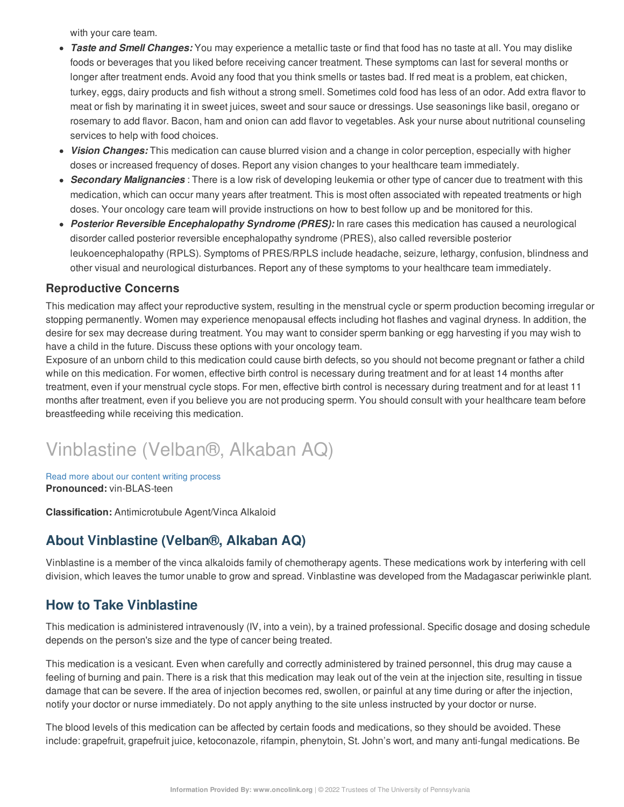with your care team.

- *Taste and Smell Changes:* You may experience a metallic taste or find that food has no taste at all. You may dislike foods or beverages that you liked before receiving cancer treatment. These symptoms can last for several months or longer after treatment ends. Avoid any food that you think smells or tastes bad. If red meat is a problem, eat chicken, turkey, eggs, dairy products and fish without a strong smell. Sometimes cold food has less of an odor. Add extra flavor to meat or fish by marinating it in sweet juices, sweet and sour sauce or dressings. Use seasonings like basil, oregano or rosemary to add flavor. Bacon, ham and onion can add flavor to vegetables. Ask your nurse about nutritional counseling services to help with food choices.
- *Vision Changes:* This medication can cause blurred vision and a change in color perception, especially with higher doses or increased frequency of doses. Report any vision changes to your healthcare team immediately.
- *Secondary Malignancies* : There is a low risk of developing leukemia or other type of cancer due to treatment with this medication, which can occur many years after treatment. This is most often associated with repeated treatments or high doses. Your oncology care team will provide instructions on how to best follow up and be monitored for this.
- *Posterior Reversible Encephalopathy Syndrome (PRES):* In rare cases this medication has caused a neurological disorder called posterior reversible encephalopathy syndrome (PRES), also called reversible posterior leukoencephalopathy (RPLS). Symptoms of PRES/RPLS include headache, seizure, lethargy, confusion, blindness and other visual and neurological disturbances. Report any of these symptoms to your healthcare team immediately.

#### **Reproductive Concerns**

This medication may affect your reproductive system, resulting in the menstrual cycle or sperm production becoming irregular or stopping permanently. Women may experience menopausal effects including hot flashes and vaginal dryness. In addition, the desire for sex may decrease during treatment. You may want to consider sperm banking or egg harvesting if you may wish to have a child in the future. Discuss these options with your oncology team.

Exposure of an unborn child to this medication could cause birth defects, so you should not become pregnant or father a child while on this medication. For women, effective birth control is necessary during treatment and for at least 14 months after treatment, even if your menstrual cycle stops. For men, effective birth control is necessary during treatment and for at least 11 months after treatment, even if you believe you are not producing sperm. You should consult with your healthcare team before breastfeeding while receiving this medication.

# Vinblastine (Velban®, Alkaban AQ)

Read more about our content writing [process](https://www.oncolink.org/chemo-printer/20959?theme=oncolink/about/content) **Pronounced:** vin-BLAS-teen

**Classification:** Antimicrotubule Agent/Vinca Alkaloid

# **About Vinblastine (Velban®, Alkaban AQ)**

Vinblastine is a member of the vinca alkaloids family of chemotherapy agents. These medications work by interfering with cell division, which leaves the tumor unable to grow and spread. Vinblastine was developed from the Madagascar periwinkle plant.

# **How to Take Vinblastine**

This medication is administered intravenously (IV, into a vein), by a trained professional. Specific dosage and dosing schedule depends on the person's size and the type of cancer being treated.

This medication is a vesicant. Even when carefully and correctly administered by trained personnel, this drug may cause a feeling of burning and pain. There is a risk that this medication may leak out of the vein at the injection site, resulting in tissue damage that can be severe. If the area of injection becomes red, swollen, or painful at any time during or after the injection, notify your doctor or nurse immediately. Do not apply anything to the site unless instructed by your doctor or nurse.

The blood levels of this medication can be affected by certain foods and medications, so they should be avoided. These include: grapefruit, grapefruit juice, ketoconazole, rifampin, phenytoin, St. John's wort, and many anti-fungal medications. Be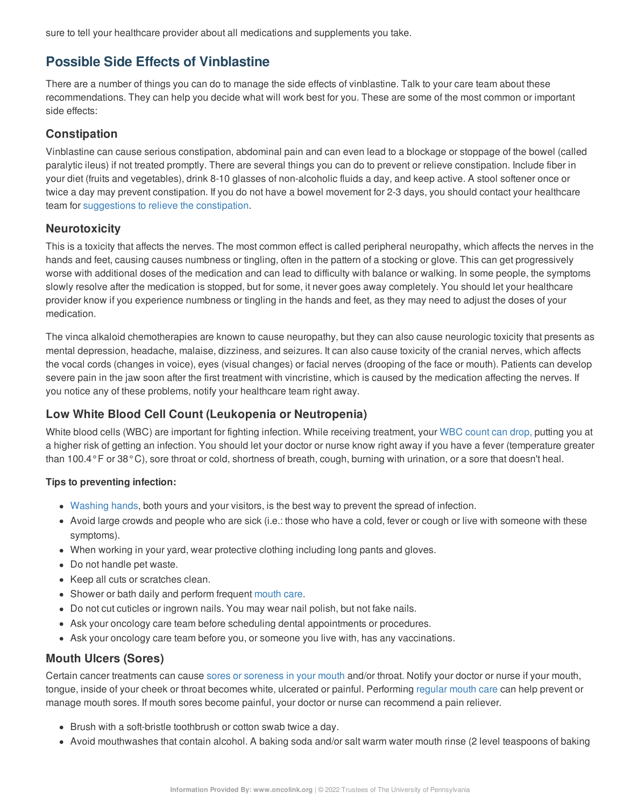sure to tell your healthcare provider about all medications and supplements you take.

# **Possible Side Effects of Vinblastine**

There are a number of things you can do to manage the side effects of vinblastine. Talk to your care team about these recommendations. They can help you decide what will work best for you. These are some of the most common or important side effects:

#### **Constipation**

Vinblastine can cause serious constipation, abdominal pain and can even lead to a blockage or stoppage of the bowel (called paralytic ileus) if not treated promptly. There are several things you can do to prevent or relieve constipation. Include fiber in your diet (fruits and vegetables), drink 8-10 glasses of non-alcoholic fluids a day, and keep active. A stool softener once or twice a day may prevent constipation. If you do not have a bowel movement for 2-3 days, you should contact your healthcare team for [suggestions](https://www.oncolink.org/chemo-printer/20959?theme=oncolink/support/side-effects/gastrointestinal-side-effects/constipation) to relieve the constipation.

#### **Neurotoxicity**

This is a toxicity that affects the nerves. The most common effect is called peripheral neuropathy, which affects the nerves in the hands and feet, causing causes numbness or tingling, often in the pattern of a stocking or glove. This can get progressively worse with additional doses of the medication and can lead to difficulty with balance or walking. In some people, the symptoms slowly resolve after the medication is stopped, but for some, it never goes away completely. You should let your healthcare provider know if you experience numbness or tingling in the hands and feet, as they may need to adjust the doses of your medication.

The vinca alkaloid chemotherapies are known to cause neuropathy, but they can also cause neurologic toxicity that presents as mental depression, headache, malaise, dizziness, and seizures. It can also cause toxicity of the cranial nerves, which affects the vocal cords (changes in voice), eyes (visual changes) or facial nerves (drooping of the face or mouth). Patients can develop severe pain in the jaw soon after the first treatment with vincristine, which is caused by the medication affecting the nerves. If you notice any of these problems, notify your healthcare team right away.

# **Low White Blood Cell Count (Leukopenia or Neutropenia)**

White blood cells (WBC) are important for fighting infection. While receiving treatment, your WBC [count](https://www.oncolink.org/chemo-printer/20959?theme=oncolink/support/side-effects/low-blood-counts/neutropenia) can drop, putting you at a higher risk of getting an infection. You should let your doctor or nurse know right away if you have a fever (temperature greater than 100.4°F or 38°C), sore throat or cold, shortness of breath, cough, burning with urination, or a sore that doesn't heal.

#### **Tips to preventing infection:**

- [Washing](https://www.oncolink.org/chemo-printer/20959?theme=oncolink/cancer-treatment/hospital-helpers/hand-hygiene-hand-washing) hands, both yours and your visitors, is the best way to prevent the spread of infection.
- Avoid large crowds and people who are sick (i.e.: those who have a cold, fever or cough or live with someone with these symptoms).
- When working in your yard, wear protective clothing including long pants and gloves.
- Do not handle pet waste.
- Keep all cuts or scratches clean.
- Shower or bath daily and perform frequent [mouth](https://www.oncolink.org/chemo-printer/20959?theme=oncolink/support/side-effects/gastrointestinal-side-effects/mucositis/mucositis-mouth-sores-oral-care-tip-sheet) care.
- Do not cut cuticles or ingrown nails. You may wear nail polish, but not fake nails.
- Ask your oncology care team before scheduling dental appointments or procedures.
- Ask your oncology care team before you, or someone you live with, has any vaccinations.

#### **Mouth Ulcers (Sores)**

Certain cancer treatments can cause sores or [soreness](https://www.oncolink.org/chemo-printer/20959?theme=oncolink/support/side-effects/gastrointestinal-side-effects/mucositis/all-about-mucositis) in your mouth and/or throat. Notify your doctor or nurse if your mouth, tongue, inside of your cheek or throat becomes white, ulcerated or painful. Performing [regular](https://www.oncolink.org/chemo-printer/20959?theme=oncolink/support/side-effects/gastrointestinal-side-effects/mucositis/mucositis-mouth-sores-oral-care-tip-sheet) mouth care can help prevent or manage mouth sores. If mouth sores become painful, your doctor or nurse can recommend a pain reliever.

- Brush with a soft-bristle toothbrush or cotton swab twice a day.
- Avoid mouthwashes that contain alcohol. A baking soda and/or salt warm water mouth rinse (2 level teaspoons of baking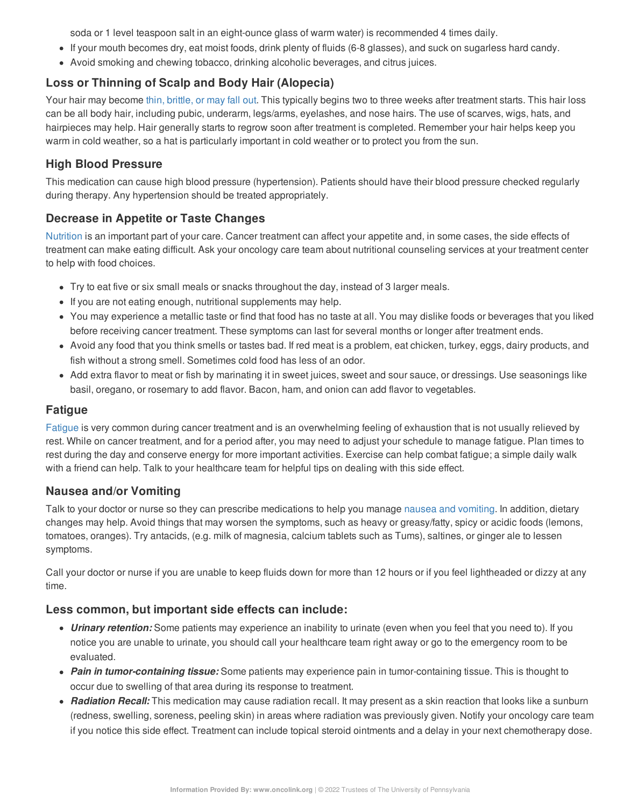soda or 1 level teaspoon salt in an eight-ounce glass of warm water) is recommended 4 times daily.

- If your mouth becomes dry, eat moist foods, drink plenty of fluids (6-8 glasses), and suck on sugarless hard candy.
- Avoid smoking and chewing tobacco, drinking alcoholic beverages, and citrus juices.

## **Loss or Thinning of Scalp and Body Hair (Alopecia)**

Your hair may become thin, [brittle,](https://www.oncolink.org/chemo-printer/20959?theme=oncolink/support/side-effects/skin-hair-nail-side-effects/hair-loss-alopecia-from-chemotherapy) or may fall out. This typically begins two to three weeks after treatment starts. This hair loss can be all body hair, including pubic, underarm, legs/arms, eyelashes, and nose hairs. The use of scarves, wigs, hats, and hairpieces may help. Hair generally starts to regrow soon after treatment is completed. Remember your hair helps keep you warm in cold weather, so a hat is particularly important in cold weather or to protect you from the sun.

## **High Blood Pressure**

This medication can cause high blood pressure (hypertension). Patients should have their blood pressure checked regularly during therapy. Any hypertension should be treated appropriately.

## **Decrease in Appetite or Taste Changes**

[Nutrition](https://www.oncolink.org/chemo-printer/20959?theme=oncolink/support/nutrition-and-cancer/during-and-after-treatment) is an important part of your care. Cancer treatment can affect your appetite and, in some cases, the side effects of treatment can make eating difficult. Ask your oncology care team about nutritional counseling services at your treatment center to help with food choices.

- Try to eat five or six small meals or snacks throughout the day, instead of 3 larger meals.
- If you are not eating enough, nutritional supplements may help.
- You may experience a metallic taste or find that food has no taste at all. You may dislike foods or beverages that you liked before receiving cancer treatment. These symptoms can last for several months or longer after treatment ends.
- Avoid any food that you think smells or tastes bad. If red meat is a problem, eat chicken, turkey, eggs, dairy products, and fish without a strong smell. Sometimes cold food has less of an odor.
- Add extra flavor to meat or fish by marinating it in sweet juices, sweet and sour sauce, or dressings. Use seasonings like basil, oregano, or rosemary to add flavor. Bacon, ham, and onion can add flavor to vegetables.

## **Fatigue**

[Fatigue](https://www.oncolink.org/chemo-printer/20959?theme=oncolink/support/side-effects/other-side-effects/fatigue-and-cancer/managing-fatigue) is very common during cancer treatment and is an overwhelming feeling of exhaustion that is not usually relieved by rest. While on cancer treatment, and for a period after, you may need to adjust your schedule to manage fatigue. Plan times to rest during the day and conserve energy for more important activities. Exercise can help combat fatigue; a simple daily walk with a friend can help. Talk to your healthcare team for helpful tips on dealing with this side effect.

#### **Nausea and/or Vomiting**

Talk to your doctor or nurse so they can prescribe medications to help you manage nausea and [vomiting](https://www.oncolink.org/chemo-printer/20959?theme=oncolink/support/side-effects/gastrointestinal-side-effects/nausea-and-vomiting). In addition, dietary changes may help. Avoid things that may worsen the symptoms, such as heavy or greasy/fatty, spicy or acidic foods (lemons, tomatoes, oranges). Try antacids, (e.g. milk of magnesia, calcium tablets such as Tums), saltines, or ginger ale to lessen symptoms.

Call your doctor or nurse if you are unable to keep fluids down for more than 12 hours or if you feel lightheaded or dizzy at any time.

#### **Less common, but important side effects can include:**

- *Urinary retention:* Some patients may experience an inability to urinate (even when you feel that you need to). If you notice you are unable to urinate, you should call your healthcare team right away or go to the emergency room to be evaluated.
- *Pain in tumor-containing tissue:* Some patients may experience pain in tumor-containing tissue. This is thought to occur due to swelling of that area during its response to treatment.
- *Radiation Recall:* This medication may cause radiation recall. It may present as a skin reaction that looks like a sunburn (redness, swelling, soreness, peeling skin) in areas where radiation was previously given. Notify your oncology care team if you notice this side effect. Treatment can include topical steroid ointments and a delay in your next chemotherapy dose.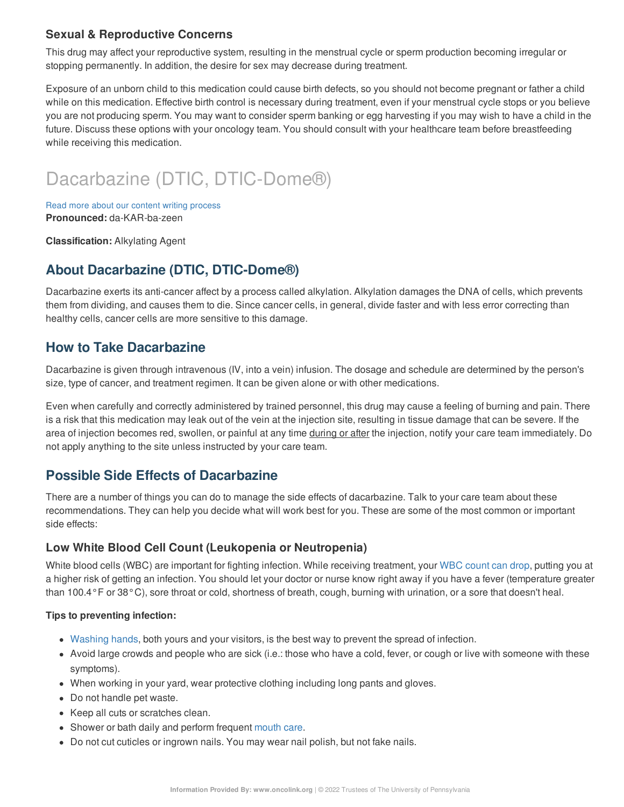# **Sexual & Reproductive Concerns**

This drug may affect your reproductive system, resulting in the menstrual cycle or sperm production becoming irregular or stopping permanently. In addition, the desire for sex may decrease during treatment.

Exposure of an unborn child to this medication could cause birth defects, so you should not become pregnant or father a child while on this medication. Effective birth control is necessary during treatment, even if your menstrual cycle stops or you believe you are not producing sperm. You may want to consider sperm banking or egg harvesting if you may wish to have a child in the future. Discuss these options with your oncology team. You should consult with your healthcare team before breastfeeding while receiving this medication.

# Dacarbazine (DTIC, DTIC-Dome®)

Read more about our content writing [process](https://www.oncolink.org/chemo-printer/20959?theme=oncolink/about/content) **Pronounced:** da-KAR-ba-zeen

**Classification:** Alkylating Agent

# **About Dacarbazine (DTIC, DTIC-Dome®)**

Dacarbazine exerts its anti-cancer affect by a process called alkylation. Alkylation damages the DNA of cells, which prevents them from dividing, and causes them to die. Since cancer cells, in general, divide faster and with less error correcting than healthy cells, cancer cells are more sensitive to this damage.

# **How to Take Dacarbazine**

Dacarbazine is given through intravenous (IV, into a vein) infusion. The dosage and schedule are determined by the person's size, type of cancer, and treatment regimen. It can be given alone or with other medications.

Even when carefully and correctly administered by trained personnel, this drug may cause a feeling of burning and pain. There is a risk that this medication may leak out of the vein at the injection site, resulting in tissue damage that can be severe. If the area of injection becomes red, swollen, or painful at any time during or after the injection, notify your care team immediately. Do not apply anything to the site unless instructed by your care team.

# **Possible Side Effects of Dacarbazine**

There are a number of things you can do to manage the side effects of dacarbazine. Talk to your care team about these recommendations. They can help you decide what will work best for you. These are some of the most common or important side effects:

#### **Low White Blood Cell Count (Leukopenia or Neutropenia)**

White blood cells (WBC) are important for fighting infection. While receiving treatment, your WBC [count](https://www.oncolink.org/chemo-printer/20959?theme=oncolink/support/side-effects/low-blood-counts/neutropenia) can drop, putting you at a higher risk of getting an infection. You should let your doctor or nurse know right away if you have a fever (temperature greater than 100.4°F or 38°C), sore throat or cold, shortness of breath, cough, burning with urination, or a sore that doesn't heal.

#### **Tips to preventing infection:**

- [Washing](https://www.oncolink.org/chemo-printer/20959?theme=oncolink/cancer-treatment/hospital-helpers/hand-hygiene-hand-washing) hands, both yours and your visitors, is the best way to prevent the spread of infection.
- Avoid large crowds and people who are sick (i.e.: those who have a cold, fever, or cough or live with someone with these symptoms).
- When working in your yard, wear protective clothing including long pants and gloves.
- Do not handle pet waste.
- Keep all cuts or scratches clean.
- Shower or bath daily and perform frequent [mouth](https://www.oncolink.org/chemo-printer/20959?theme=oncolink/support/side-effects/gastrointestinal-side-effects/mucositis/mucositis-mouth-sores-oral-care-tip-sheet) care.
- Do not cut cuticles or ingrown nails. You may wear nail polish, but not fake nails.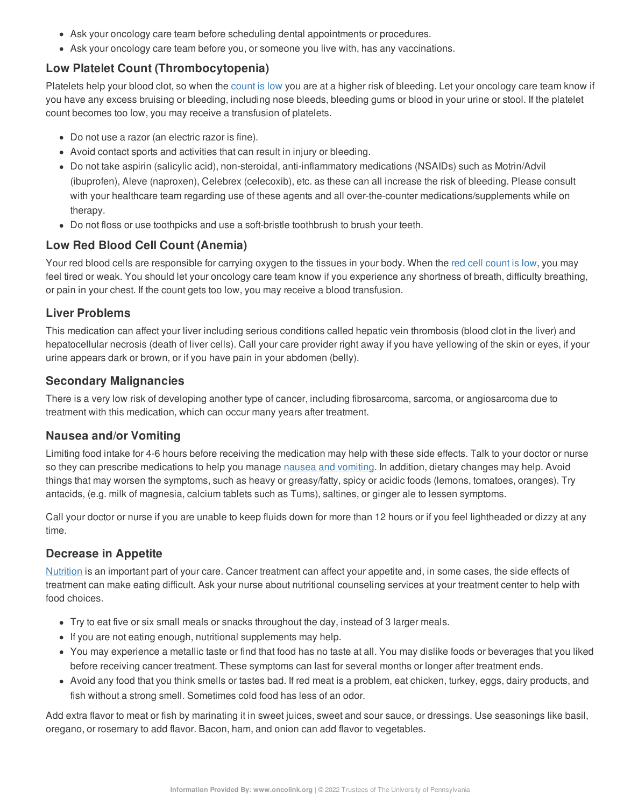- Ask your oncology care team before scheduling dental appointments or procedures.
- Ask your oncology care team before you, or someone you live with, has any vaccinations.

## **Low Platelet Count (Thrombocytopenia)**

Platelets help your blood clot, so when the [count](https://www.oncolink.org/chemo-printer/20959?theme=oncolink/support/side-effects/low-blood-counts/low-platelet-count-thrombocytopenia) is low you are at a higher risk of bleeding. Let your oncology care team know if you have any excess bruising or bleeding, including nose bleeds, bleeding gums or blood in your urine or stool. If the platelet count becomes too low, you may receive a transfusion of platelets.

- Do not use a razor (an electric razor is fine).
- Avoid contact sports and activities that can result in injury or bleeding.
- Do not take aspirin (salicylic acid), non-steroidal, anti-inflammatory medications (NSAIDs) such as Motrin/Advil (ibuprofen), Aleve (naproxen), Celebrex (celecoxib), etc. as these can all increase the risk of bleeding. Please consult with your healthcare team regarding use of these agents and all over-the-counter medications/supplements while on therapy.
- Do not floss or use toothpicks and use a soft-bristle toothbrush to brush your teeth.

# **Low Red Blood Cell Count (Anemia)**

Your red blood cells are responsible for carrying oxygen to the tissues in your body. When the red cell [count](https://www.oncolink.org/chemo-printer/20959?theme=oncolink/support/side-effects/low-blood-counts/low-red-blood-cell-count-anemia) is low, you may feel tired or weak. You should let your oncology care team know if you experience any shortness of breath, difficulty breathing, or pain in your chest. If the count gets too low, you may receive a blood transfusion.

# **Liver Problems**

This medication can affect your liver including serious conditions called hepatic vein thrombosis (blood clot in the liver) and hepatocellular necrosis (death of liver cells). Call your care provider right away if you have yellowing of the skin or eyes, if your urine appears dark or brown, or if you have pain in your abdomen (belly).

# **Secondary Malignancies**

There is a very low risk of developing another type of cancer, including fibrosarcoma, sarcoma, or angiosarcoma due to treatment with this medication, which can occur many years after treatment.

# **Nausea and/or Vomiting**

Limiting food intake for 4-6 hours before receiving the medication may help with these side effects. Talk to your doctor or nurse so they can prescribe medications to help you manage nausea and [vomiting](https://www.oncolink.org/chemo-printer/20959?theme=oncolink/support/side-effects/gastrointestinal-side-effects/nausea-and-vomiting). In addition, dietary changes may help. Avoid things that may worsen the symptoms, such as heavy or greasy/fatty, spicy or acidic foods (lemons, tomatoes, oranges). Try antacids, (e.g. milk of magnesia, calcium tablets such as Tums), saltines, or ginger ale to lessen symptoms.

Call your doctor or nurse if you are unable to keep fluids down for more than 12 hours or if you feel lightheaded or dizzy at any time.

# **Decrease in Appetite**

[Nutrition](https://www.oncolink.org/chemo-printer/20959?theme=oncolink/support/nutrition-and-cancer/during-and-after-treatment) is an important part of your care. Cancer treatment can affect your appetite and, in some cases, the side effects of treatment can make eating difficult. Ask your nurse about nutritional counseling services at your treatment center to help with food choices.

- Try to eat five or six small meals or snacks throughout the day, instead of 3 larger meals.
- If you are not eating enough, nutritional supplements may help.
- You may experience a metallic taste or find that food has no taste at all. You may dislike foods or beverages that you liked before receiving cancer treatment. These symptoms can last for several months or longer after treatment ends.
- Avoid any food that you think smells or tastes bad. If red meat is a problem, eat chicken, turkey, eggs, dairy products, and fish without a strong smell. Sometimes cold food has less of an odor.

Add extra flavor to meat or fish by marinating it in sweet juices, sweet and sour sauce, or dressings. Use seasonings like basil, oregano, or rosemary to add flavor. Bacon, ham, and onion can add flavor to vegetables.